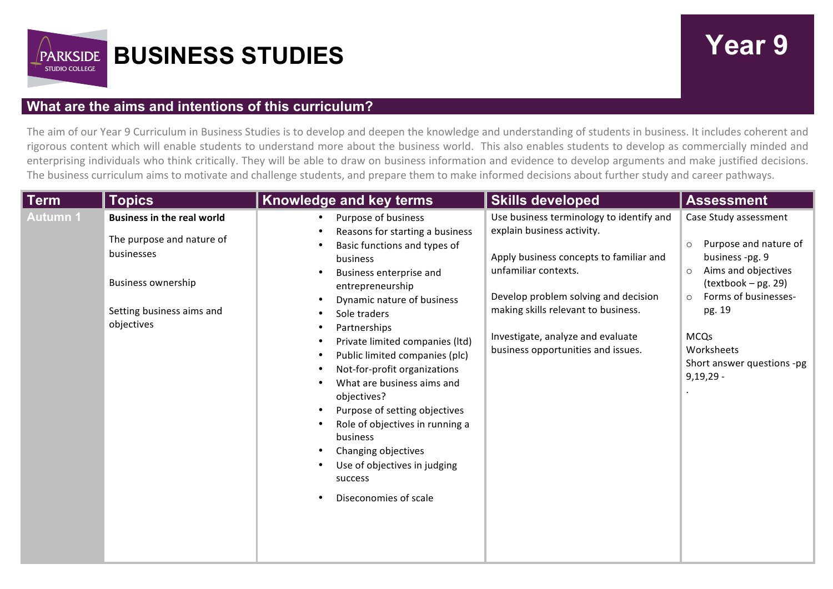

## **What are the aims and intentions of this curriculum?**

The aim of our Year 9 Curriculum in Business Studies is to develop and deepen the knowledge and understanding of students in business. It includes coherent and rigorous content which will enable students to understand more about the business world. This also enables students to develop as commercially minded and enterprising individuals who think critically. They will be able to draw on business information and evidence to develop arguments and make justified decisions. The business curriculum aims to motivate and challenge students, and prepare them to make informed decisions about further study and career pathways.

| <b>Term</b><br><b>Topics</b>                                                                                                                                     | Knowledge and key terms                                                                                                                                                                                                                                                                                                                                                                                                                                                                                                                      | <b>Skills developed</b>                                                                                                                                                                                                                                                                             | <b>Assessment</b>                                                                                                                                                                                                                                            |
|------------------------------------------------------------------------------------------------------------------------------------------------------------------|----------------------------------------------------------------------------------------------------------------------------------------------------------------------------------------------------------------------------------------------------------------------------------------------------------------------------------------------------------------------------------------------------------------------------------------------------------------------------------------------------------------------------------------------|-----------------------------------------------------------------------------------------------------------------------------------------------------------------------------------------------------------------------------------------------------------------------------------------------------|--------------------------------------------------------------------------------------------------------------------------------------------------------------------------------------------------------------------------------------------------------------|
| Autumn 1<br><b>Business in the real world</b><br>The purpose and nature of<br>businesses<br><b>Business ownership</b><br>Setting business aims and<br>objectives | Purpose of business<br>Reasons for starting a business<br>Basic functions and types of<br>business<br>Business enterprise and<br>entrepreneurship<br>Dynamic nature of business<br>Sole traders<br>Partnerships<br>Private limited companies (Itd)<br>Public limited companies (plc)<br>Not-for-profit organizations<br>What are business aims and<br>objectives?<br>Purpose of setting objectives<br>Role of objectives in running a<br>business<br>Changing objectives<br>Use of objectives in judging<br>success<br>Diseconomies of scale | Use business terminology to identify and<br>explain business activity.<br>Apply business concepts to familiar and<br>unfamiliar contexts.<br>Develop problem solving and decision<br>making skills relevant to business.<br>Investigate, analyze and evaluate<br>business opportunities and issues. | Case Study assessment<br>Purpose and nature of<br>$\circ$<br>business -pg. 9<br>Aims and objectives<br>$\circ$<br>(textbook - pg. 29)<br>Forms of businesses-<br>$\circ$<br>pg. 19<br><b>MCQs</b><br>Worksheets<br>Short answer questions -pg<br>$9,19,29 -$ |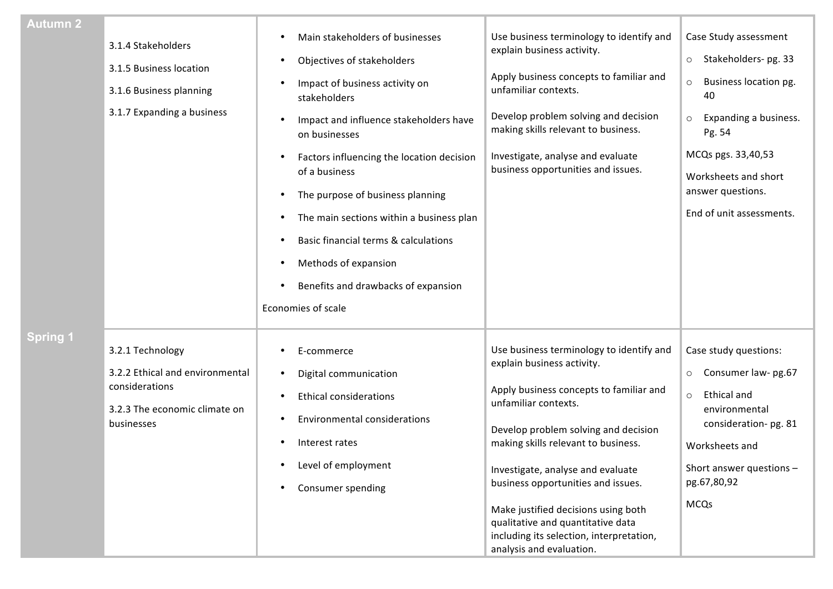| <b>Autumn 2</b> | 3.1.4 Stakeholders<br>3.1.5 Business location<br>3.1.6 Business planning<br>3.1.7 Expanding a business               | Main stakeholders of businesses<br>Objectives of stakeholders<br>Impact of business activity on<br>stakeholders<br>Impact and influence stakeholders have<br>on businesses<br>Factors influencing the location decision<br>of a business<br>The purpose of business planning<br>The main sections within a business plan<br>Basic financial terms & calculations<br>Methods of expansion<br>Benefits and drawbacks of expansion<br>Economies of scale | Use business terminology to identify and<br>explain business activity.<br>Apply business concepts to familiar and<br>unfamiliar contexts.<br>Develop problem solving and decision<br>making skills relevant to business.<br>Investigate, analyse and evaluate<br>business opportunities and issues.                                                                                                                                                     | Case Study assessment<br>Stakeholders-pg. 33<br>$\circ$<br>Business location pg.<br>$\circ$<br>40<br>Expanding a business.<br>$\circ$<br>Pg. 54<br>MCQs pgs. 33,40,53<br>Worksheets and short<br>answer questions.<br>End of unit assessments. |
|-----------------|----------------------------------------------------------------------------------------------------------------------|-------------------------------------------------------------------------------------------------------------------------------------------------------------------------------------------------------------------------------------------------------------------------------------------------------------------------------------------------------------------------------------------------------------------------------------------------------|---------------------------------------------------------------------------------------------------------------------------------------------------------------------------------------------------------------------------------------------------------------------------------------------------------------------------------------------------------------------------------------------------------------------------------------------------------|------------------------------------------------------------------------------------------------------------------------------------------------------------------------------------------------------------------------------------------------|
| <b>Spring 1</b> | 3.2.1 Technology<br>3.2.2 Ethical and environmental<br>considerations<br>3.2.3 The economic climate on<br>businesses | E-commerce<br>Digital communication<br><b>Ethical considerations</b><br><b>Environmental considerations</b><br>Interest rates<br>Level of employment<br>Consumer spending                                                                                                                                                                                                                                                                             | Use business terminology to identify and<br>explain business activity.<br>Apply business concepts to familiar and<br>unfamiliar contexts.<br>Develop problem solving and decision<br>making skills relevant to business.<br>Investigate, analyse and evaluate<br>business opportunities and issues.<br>Make justified decisions using both<br>qualitative and quantitative data<br>including its selection, interpretation,<br>analysis and evaluation. | Case study questions:<br>Consumer law- pg.67<br>$\circ$<br><b>Ethical and</b><br>$\circ$<br>environmental<br>consideration-pg. 81<br>Worksheets and<br>Short answer questions -<br>pg.67,80,92<br><b>MCQs</b>                                  |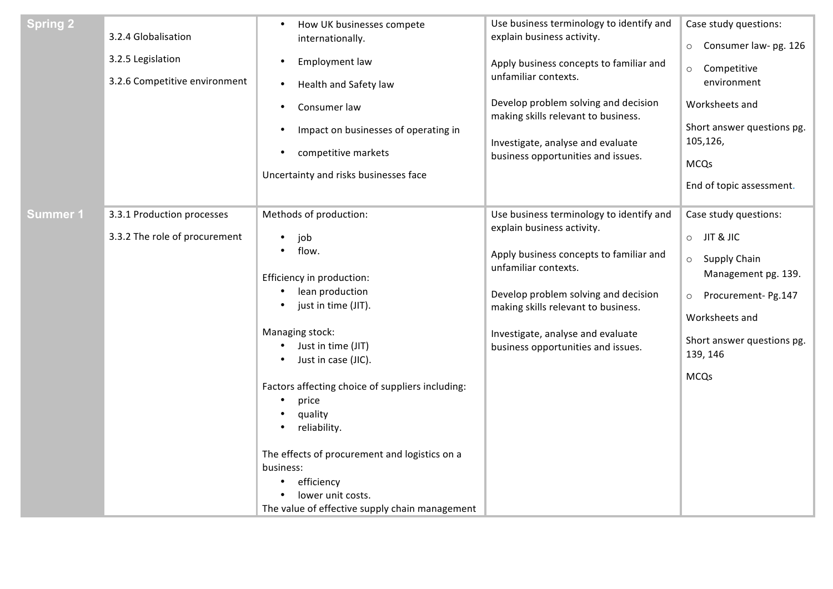| <b>Spring 2</b> | 3.2.4 Globalisation<br>3.2.5 Legislation<br>3.2.6 Competitive environment | How UK businesses compete<br>$\bullet$<br>internationally.<br>Employment law<br>$\bullet$<br>Health and Safety law<br>$\bullet$<br>Consumer law<br>$\bullet$<br>Impact on businesses of operating in<br>$\bullet$<br>competitive markets<br>$\bullet$<br>Uncertainty and risks businesses face                                                                                                                                                                                 | Use business terminology to identify and<br>explain business activity.<br>Apply business concepts to familiar and<br>unfamiliar contexts.<br>Develop problem solving and decision<br>making skills relevant to business.<br>Investigate, analyse and evaluate<br>business opportunities and issues. | Case study questions:<br>Consumer law- pg. 126<br>$\circ$<br>Competitive<br>$\circ$<br>environment<br>Worksheets and<br>Short answer questions pg.<br>105,126,<br><b>MCQs</b><br>End of topic assessment.           |
|-----------------|---------------------------------------------------------------------------|--------------------------------------------------------------------------------------------------------------------------------------------------------------------------------------------------------------------------------------------------------------------------------------------------------------------------------------------------------------------------------------------------------------------------------------------------------------------------------|-----------------------------------------------------------------------------------------------------------------------------------------------------------------------------------------------------------------------------------------------------------------------------------------------------|---------------------------------------------------------------------------------------------------------------------------------------------------------------------------------------------------------------------|
| <b>Summer 1</b> | 3.3.1 Production processes<br>3.3.2 The role of procurement               | Methods of production:<br>job<br>$\bullet$<br>flow.<br>٠<br>Efficiency in production:<br>lean production<br>$\bullet$<br>just in time (JIT).<br>٠<br>Managing stock:<br>Just in time (JIT)<br>$\bullet$<br>Just in case (JIC).<br>Factors affecting choice of suppliers including:<br>price<br>quality<br>reliability.<br>The effects of procurement and logistics on a<br>business:<br>efficiency<br>٠<br>lower unit costs.<br>The value of effective supply chain management | Use business terminology to identify and<br>explain business activity.<br>Apply business concepts to familiar and<br>unfamiliar contexts.<br>Develop problem solving and decision<br>making skills relevant to business.<br>Investigate, analyse and evaluate<br>business opportunities and issues. | Case study questions:<br>JIT & JIC<br>$\circ$<br><b>Supply Chain</b><br>$\circ$<br>Management pg. 139.<br>Procurement- Pg.147<br>$\circ$<br>Worksheets and<br>Short answer questions pg.<br>139, 146<br><b>MCQs</b> |